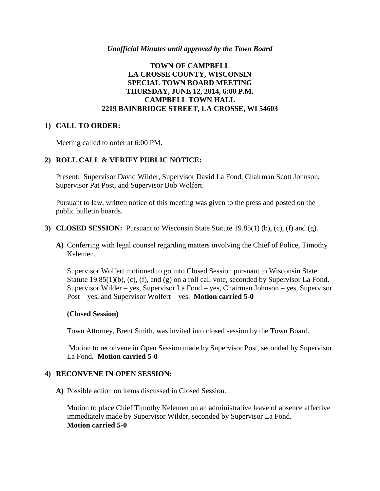#### *Unofficial Minutes until approved by the Town Board*

## **TOWN OF CAMPBELL LA CROSSE COUNTY, WISCONSIN SPECIAL TOWN BOARD MEETING THURSDAY, JUNE 12, 2014, 6:00 P.M. CAMPBELL TOWN HALL 2219 BAINBRIDGE STREET, LA CROSSE, WI 54603**

## **1) CALL TO ORDER:**

Meeting called to order at 6:00 PM.

## **2) ROLL CALL & VERIFY PUBLIC NOTICE:**

Present: Supervisor David Wilder, Supervisor David La Fond, Chairman Scott Johnson, Supervisor Pat Post, and Supervisor Bob Wolfert.

Pursuant to law, written notice of this meeting was given to the press and posted on the public bulletin boards.

- **3) CLOSED SESSION:** Pursuant to Wisconsin State Statute 19.85(1) (b), (c), (f) and (g).
	- **A)** Conferring with legal counsel regarding matters involving the Chief of Police, Timothy Kelemen.

Supervisor Wolfert motioned to go into Closed Session pursuant to Wisconsin State Statute 19.85(1)(b), (c), (f), and (g) on a roll call vote, seconded by Supervisor La Fond. Supervisor Wilder – yes, Supervisor La Fond – yes, Chairman Johnson – yes, Supervisor Post – yes, and Supervisor Wolfert – yes. **Motion carried 5-0**

## **(Closed Session)**

Town Attorney, Brent Smith, was invited into closed session by the Town Board.

Motion to reconvene in Open Session made by Supervisor Post, seconded by Supervisor La Fond. **Motion carried 5-0**

## **4) RECONVENE IN OPEN SESSION:**

**A)** Possible action on items discussed in Closed Session.

Motion to place Chief Timothy Kelemen on an administrative leave of absence effective immediately made by Supervisor Wilder, seconded by Supervisor La Fond. **Motion carried 5-0**